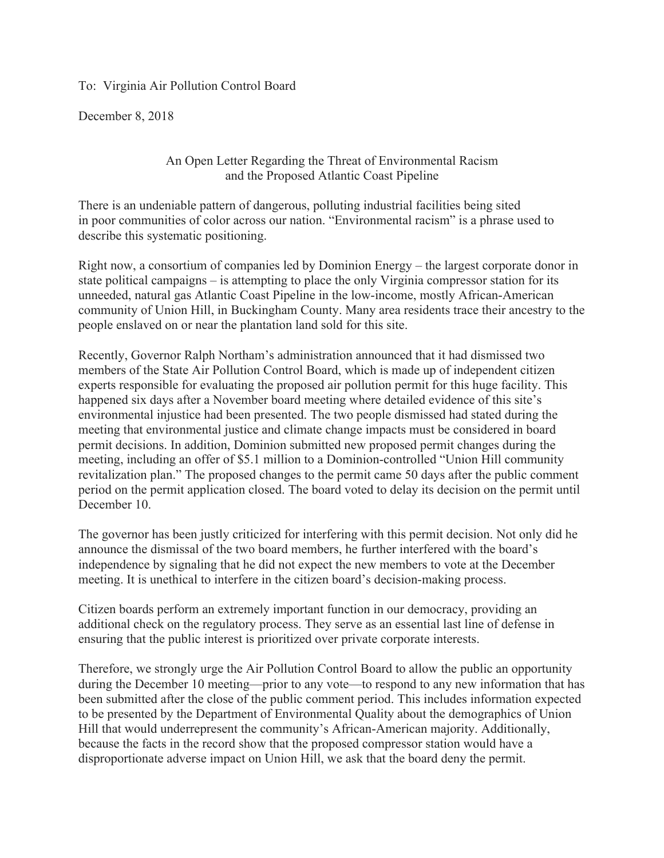To: Virginia Air Pollution Control Board

December 8, 2018

An Open Letter Regarding the Threat of Environmental Racism and the Proposed Atlantic Coast Pipeline

There is an undeniable pattern of dangerous, polluting industrial facilities being sited in poor communities of color across our nation. "Environmental racism" is a phrase used to describe this systematic positioning.

Right now, a consortium of companies led by Dominion Energy – the largest corporate donor in state political campaigns – is attempting to place the only Virginia compressor station for its unneeded, natural gas Atlantic Coast Pipeline in the low-income, mostly African-American community of Union Hill, in Buckingham County. Many area residents trace their ancestry to the people enslaved on or near the plantation land sold for this site.

Recently, Governor Ralph Northam's administration announced that it had dismissed two members of the State Air Pollution Control Board, which is made up of independent citizen experts responsible for evaluating the proposed air pollution permit for this huge facility. This happened six days after a November board meeting where detailed evidence of this site's environmental injustice had been presented. The two people dismissed had stated during the meeting that environmental justice and climate change impacts must be considered in board permit decisions. In addition, Dominion submitted new proposed permit changes during the meeting, including an offer of \$5.1 million to a Dominion-controlled "Union Hill community revitalization plan." The proposed changes to the permit came 50 days after the public comment period on the permit application closed. The board voted to delay its decision on the permit until December 10.

The governor has been justly criticized for interfering with this permit decision. Not only did he announce the dismissal of the two board members, he further interfered with the board's independence by signaling that he did not expect the new members to vote at the December meeting. It is unethical to interfere in the citizen board's decision-making process.

Citizen boards perform an extremely important function in our democracy, providing an additional check on the regulatory process. They serve as an essential last line of defense in ensuring that the public interest is prioritized over private corporate interests.

Therefore, we strongly urge the Air Pollution Control Board to allow the public an opportunity during the December 10 meeting—prior to any vote—to respond to any new information that has been submitted after the close of the public comment period. This includes information expected to be presented by the Department of Environmental Quality about the demographics of Union Hill that would underrepresent the community's African-American majority. Additionally, because the facts in the record show that the proposed compressor station would have a disproportionate adverse impact on Union Hill, we ask that the board deny the permit.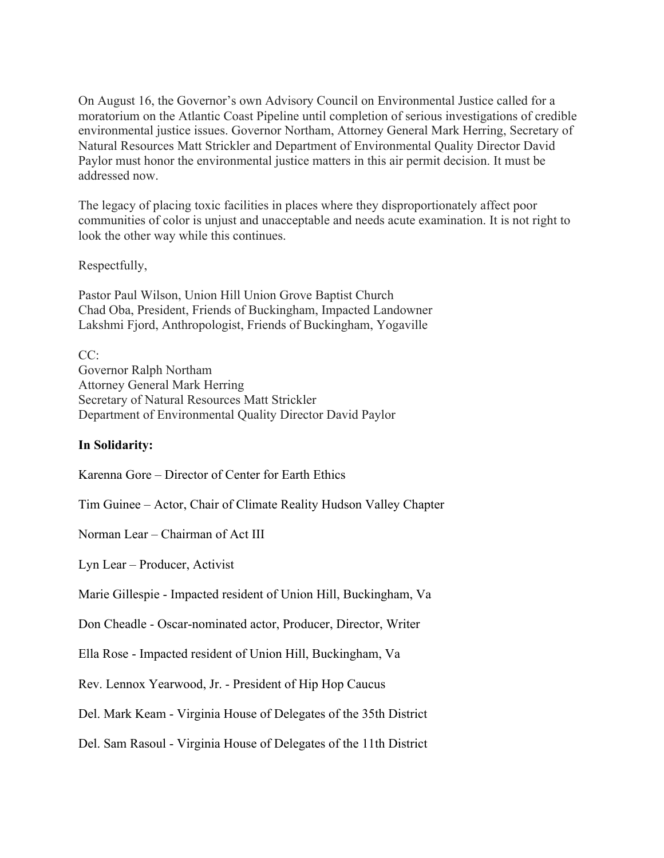On August 16, the Governor's own Advisory Council on Environmental Justice called for a moratorium on the Atlantic Coast Pipeline until completion of serious investigations of credible environmental justice issues. Governor Northam, Attorney General Mark Herring, Secretary of Natural Resources Matt Strickler and Department of Environmental Quality Director David Paylor must honor the environmental justice matters in this air permit decision. It must be addressed now.

The legacy of placing toxic facilities in places where they disproportionately affect poor communities of color is unjust and unacceptable and needs acute examination. It is not right to look the other way while this continues.

Respectfully,

Pastor Paul Wilson, Union Hill Union Grove Baptist Church Chad Oba, President, Friends of Buckingham, Impacted Landowner Lakshmi Fjord, Anthropologist, Friends of Buckingham, Yogaville

 $CC<sup>2</sup>$ Governor Ralph Northam Attorney General Mark Herring Secretary of Natural Resources Matt Strickler Department of Environmental Quality Director David Paylor

## **In Solidarity:**

Karenna Gore – Director of Center for Earth Ethics

Tim Guinee – Actor, Chair of Climate Reality Hudson Valley Chapter

Norman Lear – Chairman of Act III

Lyn Lear – Producer, Activist

Marie Gillespie - Impacted resident of Union Hill, Buckingham, Va

Don Cheadle - Oscar-nominated actor, Producer, Director, Writer

Ella Rose - Impacted resident of Union Hill, Buckingham, Va

Rev. Lennox Yearwood, Jr. - President of Hip Hop Caucus

Del. Mark Keam - Virginia House of Delegates of the 35th District

Del. Sam Rasoul - Virginia House of Delegates of the 11th District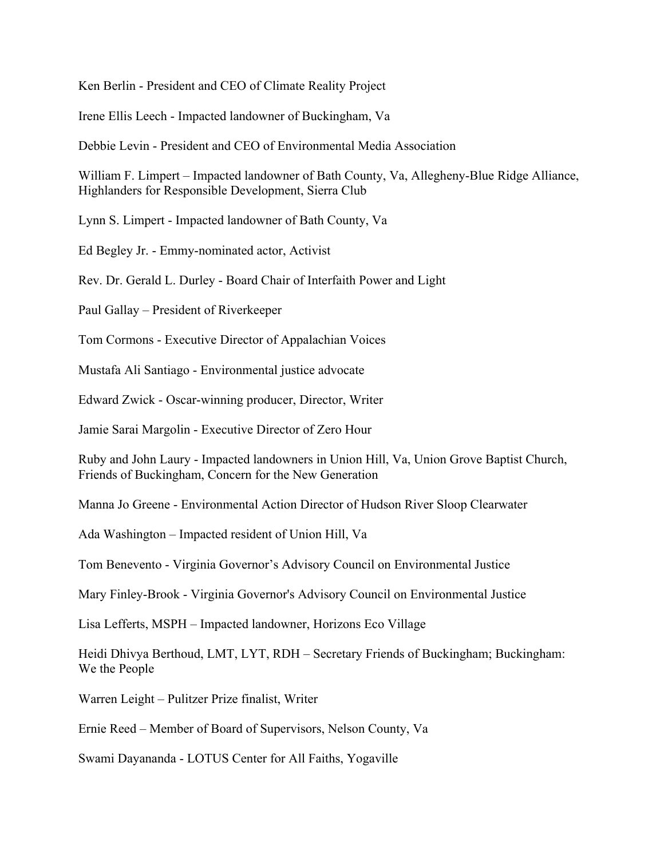Ken Berlin - President and CEO of Climate Reality Project

Irene Ellis Leech - Impacted landowner of Buckingham, Va

Debbie Levin - President and CEO of Environmental Media Association

William F. Limpert – Impacted landowner of Bath County, Va, Allegheny-Blue Ridge Alliance, Highlanders for Responsible Development, Sierra Club

Lynn S. Limpert - Impacted landowner of Bath County, Va

Ed Begley Jr. - Emmy-nominated actor, Activist

Rev. Dr. Gerald L. Durley - Board Chair of Interfaith Power and Light

Paul Gallay – President of Riverkeeper

Tom Cormons - Executive Director of Appalachian Voices

Mustafa Ali Santiago - Environmental justice advocate

Edward Zwick - Oscar-winning producer, Director, Writer

Jamie Sarai Margolin - Executive Director of Zero Hour

Ruby and John Laury - Impacted landowners in Union Hill, Va, Union Grove Baptist Church, Friends of Buckingham, Concern for the New Generation

Manna Jo Greene - Environmental Action Director of Hudson River Sloop Clearwater

Ada Washington – Impacted resident of Union Hill, Va

Tom Benevento - Virginia Governor's Advisory Council on Environmental Justice

Mary Finley-Brook - Virginia Governor's Advisory Council on Environmental Justice

Lisa Lefferts, MSPH – Impacted landowner, Horizons Eco Village

Heidi Dhivya Berthoud, LMT, LYT, RDH – Secretary Friends of Buckingham; Buckingham: We the People

Warren Leight – Pulitzer Prize finalist, Writer

Ernie Reed – Member of Board of Supervisors, Nelson County, Va

Swami Dayananda - LOTUS Center for All Faiths, Yogaville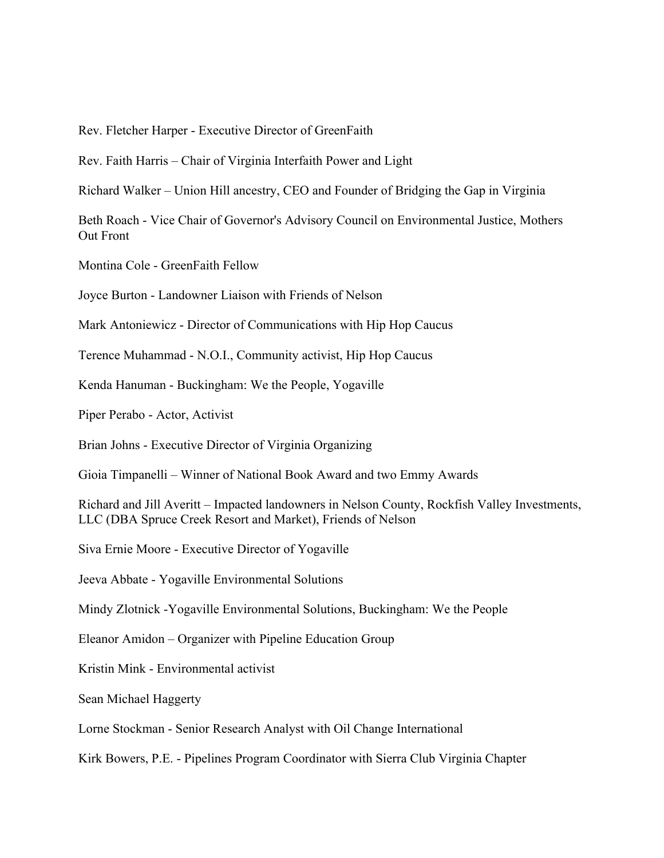Rev. Fletcher Harper - Executive Director of GreenFaith

Rev. Faith Harris – Chair of Virginia Interfaith Power and Light

Richard Walker – Union Hill ancestry, CEO and Founder of Bridging the Gap in Virginia

Beth Roach - Vice Chair of Governor's Advisory Council on Environmental Justice, Mothers Out Front

Montina Cole - GreenFaith Fellow

Joyce Burton - Landowner Liaison with Friends of Nelson

Mark Antoniewicz - Director of Communications with Hip Hop Caucus

Terence Muhammad - N.O.I., Community activist, Hip Hop Caucus

Kenda Hanuman - Buckingham: We the People, Yogaville

Piper Perabo - Actor, Activist

Brian Johns - Executive Director of Virginia Organizing

Gioia Timpanelli – Winner of National Book Award and two Emmy Awards

Richard and Jill Averitt – Impacted landowners in Nelson County, Rockfish Valley Investments, LLC (DBA Spruce Creek Resort and Market), Friends of Nelson

Siva Ernie Moore - Executive Director of Yogaville

Jeeva Abbate - Yogaville Environmental Solutions

Mindy Zlotnick -Yogaville Environmental Solutions, Buckingham: We the People

Eleanor Amidon – Organizer with Pipeline Education Group

Kristin Mink - Environmental activist

Sean Michael Haggerty

Lorne Stockman - Senior Research Analyst with Oil Change International

Kirk Bowers, P.E. - Pipelines Program Coordinator with Sierra Club Virginia Chapter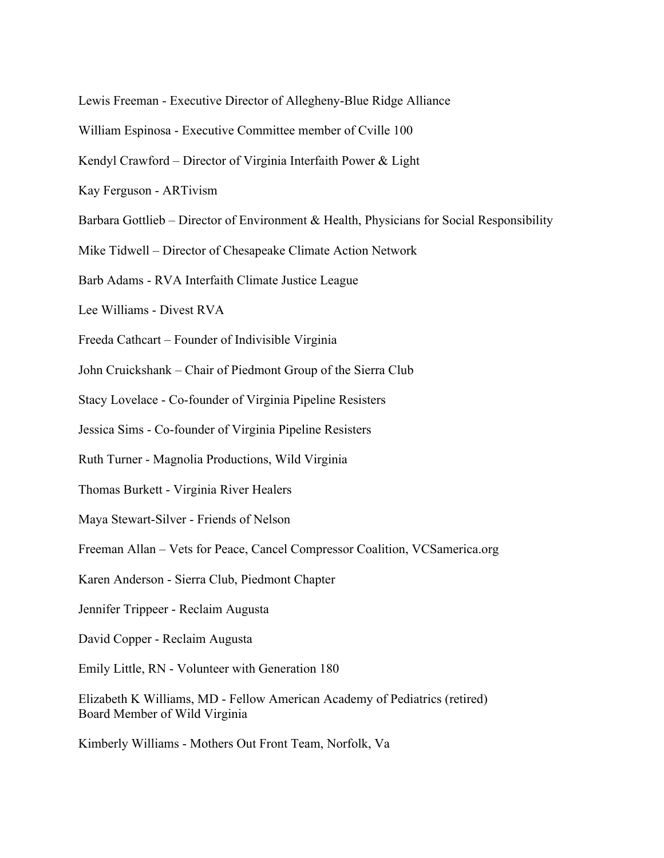Lewis Freeman - Executive Director of Allegheny-Blue Ridge Alliance

William Espinosa - Executive Committee member of Cville 100

Kendyl Crawford – Director of Virginia Interfaith Power & Light

Kay Ferguson - ARTivism

Barbara Gottlieb – Director of Environment & Health, Physicians for Social Responsibility

Mike Tidwell – Director of Chesapeake Climate Action Network

Barb Adams - RVA Interfaith Climate Justice League

Lee Williams - Divest RVA

Freeda Cathcart – Founder of Indivisible Virginia

John Cruickshank – Chair of Piedmont Group of the Sierra Club

Stacy Lovelace - Co-founder of Virginia Pipeline Resisters

Jessica Sims - Co-founder of Virginia Pipeline Resisters

Ruth Turner - Magnolia Productions, Wild Virginia

Thomas Burkett - Virginia River Healers

Maya Stewart-Silver - Friends of Nelson

Freeman Allan – Vets for Peace, Cancel Compressor Coalition, VCSamerica.org

Karen Anderson - Sierra Club, Piedmont Chapter

Jennifer Trippeer - Reclaim Augusta

David Copper - Reclaim Augusta

Emily Little, RN - Volunteer with Generation 180

Elizabeth K Williams, MD - Fellow American Academy of Pediatrics (retired) Board Member of Wild Virginia

Kimberly Williams - Mothers Out Front Team, Norfolk, Va